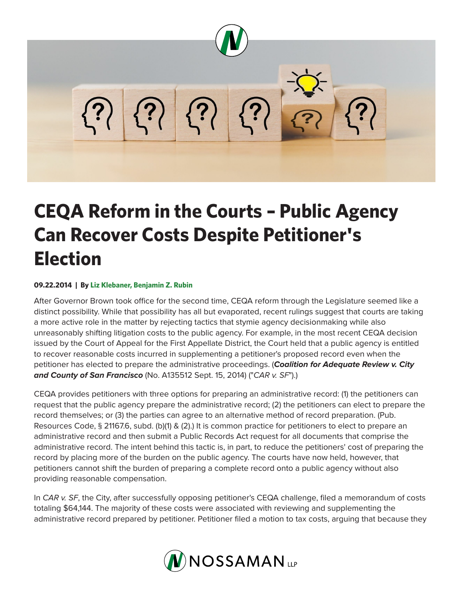

## **CEQA Reform in the Courts – Public Agency Can Recover Costs Despite Petitioner's Election**

## **09.22.2014 | By Liz Klebaner, Benjamin Z. Rubin**

After Governor Brown took office for the second time, CEQA reform through the Legislature seemed like a distinct possibility. While that possibility has all but evaporated, recent rulings suggest that courts are taking a more active role in the matter by rejecting tactics that stymie agency decisionmaking while also unreasonably shifting litigation costs to the public agency. For example, in the most recent CEQA decision issued by the Court of Appeal for the First Appellate District, the Court held that a public agency is entitled to recover reasonable costs incurred in supplementing a petitioner's proposed record even when the petitioner has elected to prepare the administrative proceedings. (*Coalition for Adequate Review v. City and County of San Francisco* (No. A135512 Sept. 15, 2014) ("*CAR v. SF*").)

CEQA provides petitioners with three options for preparing an administrative record: (1) the petitioners can request that the public agency prepare the administrative record; (2) the petitioners can elect to prepare the record themselves; or (3) the parties can agree to an alternative method of record preparation. (Pub. Resources Code, § 21167.6, subd. (b)(1) & (2).) It is common practice for petitioners to elect to prepare an administrative record and then submit a Public Records Act request for all documents that comprise the administrative record. The intent behind this tactic is, in part, to reduce the petitioners' cost of preparing the record by placing more of the burden on the public agency. The courts have now held, however, that petitioners cannot shift the burden of preparing a complete record onto a public agency without also providing reasonable compensation.

In *CAR v. SF*, the City, after successfully opposing petitioner's CEQA challenge, filed a memorandum of costs totaling \$64,144. The majority of these costs were associated with reviewing and supplementing the administrative record prepared by petitioner. Petitioner filed a motion to tax costs, arguing that because they